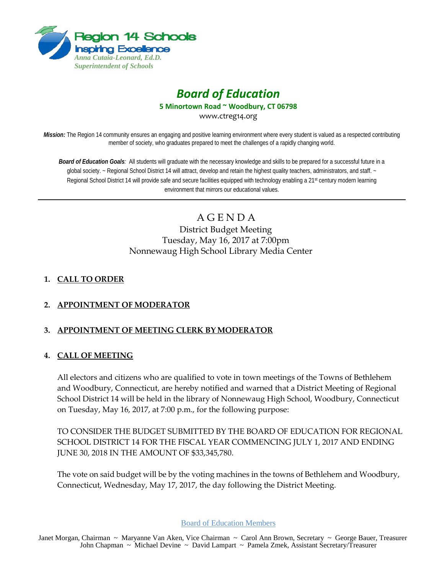

# *Board of Education*

**5 Minortown Road ~ Woodbury, CT 06798**

www.ctreg14.org

*Mission:* The Region 14 community ensures an engaging and positive learning environment where every student is valued as a respected contributing member of society, who graduates prepared to meet the challenges of a rapidly changing world.

*Board of Education Goals:* All students will graduate with the necessary knowledge and skills to be prepared for a successful future in a global society. ~ Regional School District 14 will attract, develop and retain the highest quality teachers, administrators, and staff. ~ Regional School District 14 will provide safe and secure facilities equipped with technology enabling a 21<sup>st</sup> century modern learning environment that mirrors our educational values.

> A G E N D A District Budget Meeting Tuesday, May 16, 2017 at 7:00pm Nonnewaug High School Library Media Center

# **1. CALL TO ORDER**

# **2. APPOINTMENT OF MODERATOR**

# **3. APPOINTMENT OF MEETING CLERK BY MODERATOR**

## **4. CALL OF MEETING**

All electors and citizens who are qualified to vote in town meetings of the Towns of Bethlehem and Woodbury, Connecticut, are hereby notified and warned that a District Meeting of Regional School District 14 will be held in the library of Nonnewaug High School, Woodbury, Connecticut on Tuesday, May 16, 2017, at 7:00 p.m., for the following purpose:

TO CONSIDER THE BUDGET SUBMITTED BY THE BOARD OF EDUCATION FOR REGIONAL SCHOOL DISTRICT 14 FOR THE FISCAL YEAR COMMENCING JULY 1, 2017 AND ENDING JUNE 30, 2018 IN THE AMOUNT OF \$33,345,780.

The vote on said budget will be by the voting machines in the towns of Bethlehem and Woodbury, Connecticut, Wednesday, May 17, 2017, the day following the District Meeting.

Board of Education Members